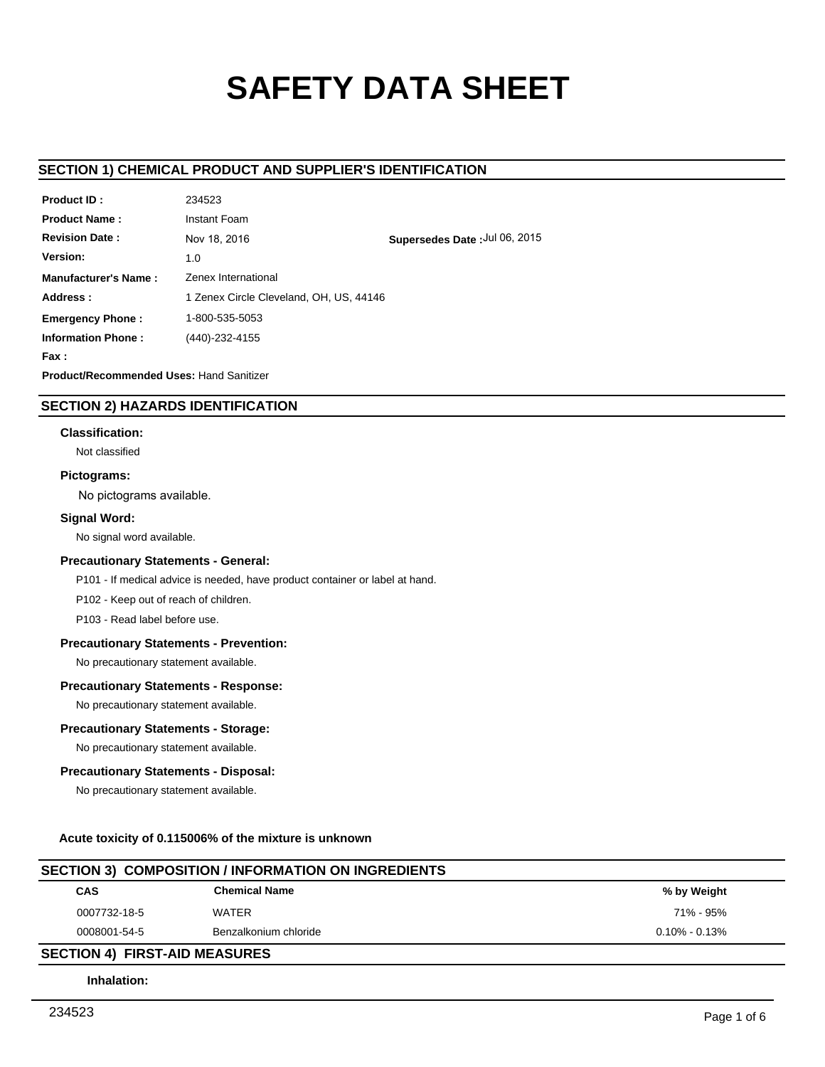# **SAFETY DATA SHEET**

## **SECTION 1) CHEMICAL PRODUCT AND SUPPLIER'S IDENTIFICATION**

| <b>Product ID:</b>                              | 234523                                  |                               |
|-------------------------------------------------|-----------------------------------------|-------------------------------|
| <b>Product Name:</b>                            | Instant Foam                            |                               |
| <b>Revision Date:</b>                           | Nov 18, 2016                            | Supersedes Date: Jul 06, 2015 |
| Version:                                        | 1.0                                     |                               |
| Manufacturer's Name:                            | Zenex International                     |                               |
| Address:                                        | 1 Zenex Circle Cleveland, OH, US, 44146 |                               |
| <b>Emergency Phone:</b>                         | 1-800-535-5053                          |                               |
| <b>Information Phone:</b>                       | (440)-232-4155                          |                               |
| Fax :                                           |                                         |                               |
| <b>Product/Recommended Uses: Hand Sanitizer</b> |                                         |                               |

## **SECTION 2) HAZARDS IDENTIFICATION**

#### **Classification:**

Not classified

#### **Pictograms:**

No pictograms available.

## **Signal Word:**

No signal word available.

#### **Precautionary Statements - General:**

P101 - If medical advice is needed, have product container or label at hand.

P102 - Keep out of reach of children.

P103 - Read label before use.

#### **Precautionary Statements - Prevention:**

No precautionary statement available.

#### **Precautionary Statements - Response:**

No precautionary statement available.

#### **Precautionary Statements - Storage:**

No precautionary statement available.

#### **Precautionary Statements - Disposal:**

No precautionary statement available.

## **Acute toxicity of 0.115006% of the mixture is unknown**

# **CAS Chemical Name Chemical Name CAS Weight SECTION 3) COMPOSITION / INFORMATION ON INGREDIENTS** 0007732-18-5 WATER 71% - 95% 0008001-54-5 Benzalkonium chloride 0.10% - 0.13% 0.10% - 0.13%

## **SECTION 4) FIRST-AID MEASURES**

**Inhalation:**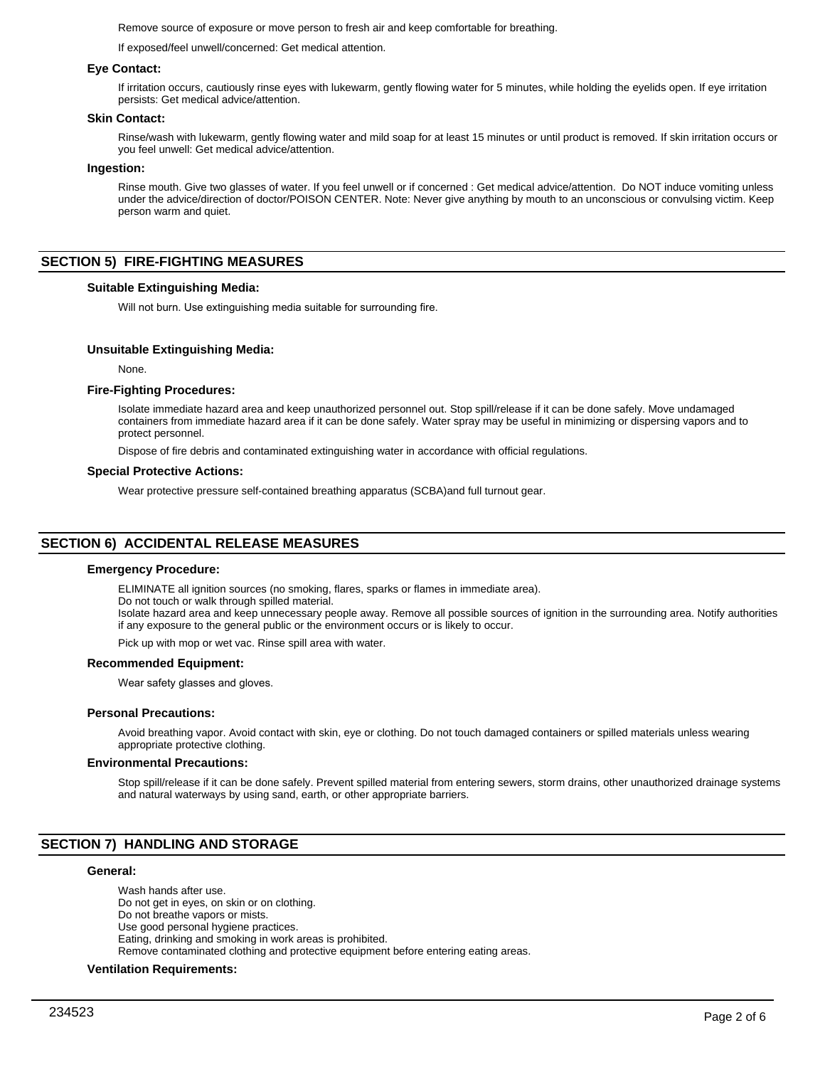Remove source of exposure or move person to fresh air and keep comfortable for breathing.

If exposed/feel unwell/concerned: Get medical attention.

#### **Eye Contact:**

If irritation occurs, cautiously rinse eyes with lukewarm, gently flowing water for 5 minutes, while holding the eyelids open. If eye irritation persists: Get medical advice/attention.

#### **Skin Contact:**

Rinse/wash with lukewarm, gently flowing water and mild soap for at least 15 minutes or until product is removed. If skin irritation occurs or you feel unwell: Get medical advice/attention.

#### **Ingestion:**

Rinse mouth. Give two glasses of water. If you feel unwell or if concerned : Get medical advice/attention. Do NOT induce vomiting unless under the advice/direction of doctor/POISON CENTER. Note: Never give anything by mouth to an unconscious or convulsing victim. Keep person warm and quiet.

#### **SECTION 5) FIRE-FIGHTING MEASURES**

#### **Suitable Extinguishing Media:**

Will not burn. Use extinguishing media suitable for surrounding fire.

#### **Unsuitable Extinguishing Media:**

None.

#### **Fire-Fighting Procedures:**

Isolate immediate hazard area and keep unauthorized personnel out. Stop spill/release if it can be done safely. Move undamaged containers from immediate hazard area if it can be done safely. Water spray may be useful in minimizing or dispersing vapors and to protect personnel.

Dispose of fire debris and contaminated extinguishing water in accordance with official regulations.

#### **Special Protective Actions:**

Wear protective pressure self-contained breathing apparatus (SCBA)and full turnout gear.

#### **SECTION 6) ACCIDENTAL RELEASE MEASURES**

#### **Emergency Procedure:**

ELIMINATE all ignition sources (no smoking, flares, sparks or flames in immediate area).

Do not touch or walk through spilled material.

Isolate hazard area and keep unnecessary people away. Remove all possible sources of ignition in the surrounding area. Notify authorities if any exposure to the general public or the environment occurs or is likely to occur.

Pick up with mop or wet vac. Rinse spill area with water.

#### **Recommended Equipment:**

Wear safety glasses and gloves.

#### **Personal Precautions:**

Avoid breathing vapor. Avoid contact with skin, eye or clothing. Do not touch damaged containers or spilled materials unless wearing appropriate protective clothing.

#### **Environmental Precautions:**

Stop spill/release if it can be done safely. Prevent spilled material from entering sewers, storm drains, other unauthorized drainage systems and natural waterways by using sand, earth, or other appropriate barriers.

## **SECTION 7) HANDLING AND STORAGE**

#### **General:**

Wash hands after use. Do not get in eyes, on skin or on clothing. Do not breathe vapors or mists. Use good personal hygiene practices. Eating, drinking and smoking in work areas is prohibited. Remove contaminated clothing and protective equipment before entering eating areas.

## **Ventilation Requirements:**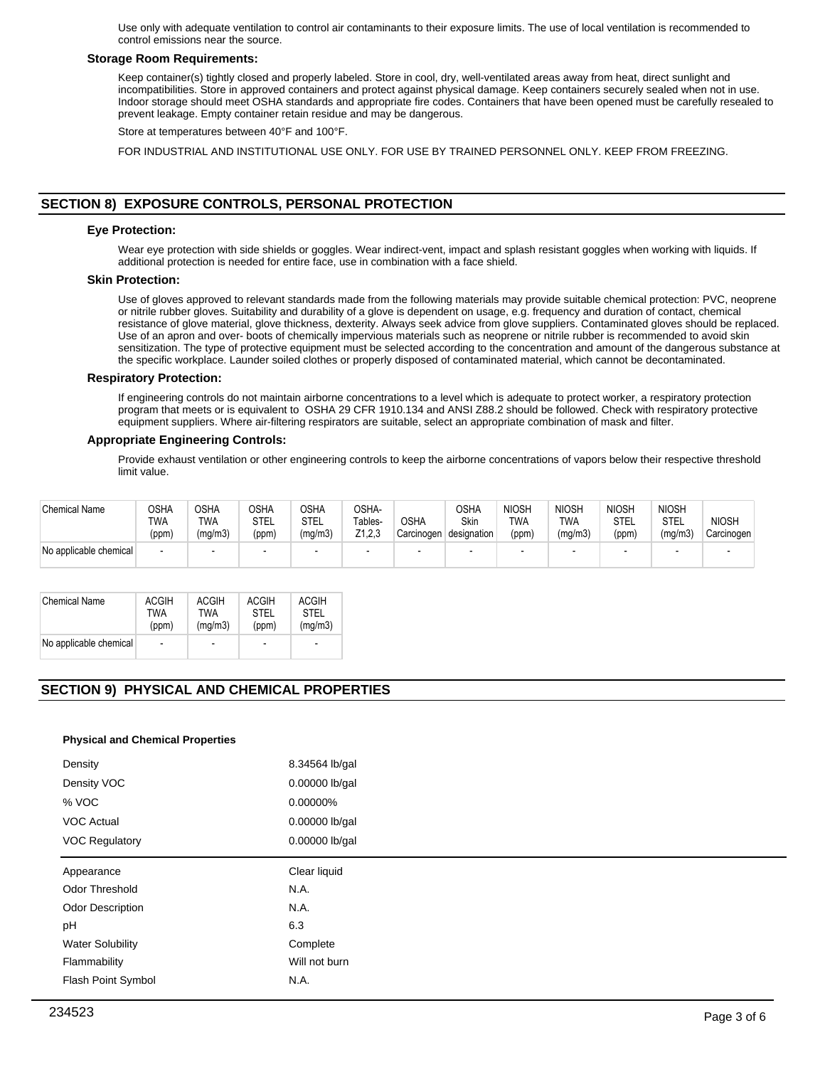Use only with adequate ventilation to control air contaminants to their exposure limits. The use of local ventilation is recommended to control emissions near the source.

#### **Storage Room Requirements:**

Keep container(s) tightly closed and properly labeled. Store in cool, dry, well-ventilated areas away from heat, direct sunlight and incompatibilities. Store in approved containers and protect against physical damage. Keep containers securely sealed when not in use. Indoor storage should meet OSHA standards and appropriate fire codes. Containers that have been opened must be carefully resealed to prevent leakage. Empty container retain residue and may be dangerous.

Store at temperatures between 40°F and 100°F.

FOR INDUSTRIAL AND INSTITUTIONAL USE ONLY. FOR USE BY TRAINED PERSONNEL ONLY. KEEP FROM FREEZING.

## **SECTION 8) EXPOSURE CONTROLS, PERSONAL PROTECTION**

#### **Eye Protection:**

Wear eye protection with side shields or goggles. Wear indirect-vent, impact and splash resistant goggles when working with liquids. If additional protection is needed for entire face, use in combination with a face shield.

#### **Skin Protection:**

Use of gloves approved to relevant standards made from the following materials may provide suitable chemical protection: PVC, neoprene or nitrile rubber gloves. Suitability and durability of a glove is dependent on usage, e.g. frequency and duration of contact, chemical resistance of glove material, glove thickness, dexterity. Always seek advice from glove suppliers. Contaminated gloves should be replaced. Use of an apron and over- boots of chemically impervious materials such as neoprene or nitrile rubber is recommended to avoid skin sensitization. The type of protective equipment must be selected according to the concentration and amount of the dangerous substance at the specific workplace. Launder soiled clothes or properly disposed of contaminated material, which cannot be decontaminated.

#### **Respiratory Protection:**

If engineering controls do not maintain airborne concentrations to a level which is adequate to protect worker, a respiratory protection program that meets or is equivalent to OSHA 29 CFR 1910.134 and ANSI Z88.2 should be followed. Check with respiratory protective equipment suppliers. Where air-filtering respirators are suitable, select an appropriate combination of mask and filter.

#### **Appropriate Engineering Controls:**

Provide exhaust ventilation or other engineering controls to keep the airborne concentrations of vapors below their respective threshold limit value.

| <b>Chemical Name</b>   | OSHA<br>TWA<br>(ppm) | OSHA<br>TWA<br>(mq/m3) | <b>OSHA</b><br>STEL<br>(ppm) | OSHA<br>STEL<br>(mg/m3) | OSHA-<br>Tables-<br>Z1.2.3 | <b>OSHA</b><br>Carcinogen | OSHA<br><b>Skin</b><br>designation | <b>NIOSH</b><br>TWA<br>(ppm) | <b>NIOSH</b><br><b>TWA</b><br>(mg/m3) | <b>NIOSH</b><br>STEL<br>(ppm) | <b>NIOSH</b><br><b>STEL</b><br>(mg/m3) | <b>NIOSH</b><br>Carcinogen |
|------------------------|----------------------|------------------------|------------------------------|-------------------------|----------------------------|---------------------------|------------------------------------|------------------------------|---------------------------------------|-------------------------------|----------------------------------------|----------------------------|
| No applicable chemical |                      | $\blacksquare$         | $\overline{\phantom{a}}$     |                         | $\overline{\phantom{0}}$   |                           | $\overline{\phantom{0}}$           |                              |                                       |                               |                                        |                            |

| <b>Chemical Name</b>   | <b>ACGIH</b>             | <b>ACGIH</b> | <b>ACGIH</b>             | <b>ACGIH</b> |
|------------------------|--------------------------|--------------|--------------------------|--------------|
|                        | TWA                      | TWA          | STFI                     | <b>STEL</b>  |
|                        | (ppm)                    | (mq/m3)      | (ppm)                    | (mq/m3)      |
| No applicable chemical | $\overline{\phantom{0}}$ |              | $\overline{\phantom{0}}$ |              |

## **SECTION 9) PHYSICAL AND CHEMICAL PROPERTIES**

#### **Physical and Chemical Properties**

| Density                 | 8.34564 lb/gal |
|-------------------------|----------------|
| Density VOC             | 0.00000 lb/gal |
| % VOC                   | 0.00000%       |
| <b>VOC Actual</b>       | 0.00000 lb/gal |
| <b>VOC Regulatory</b>   | 0.00000 lb/gal |
| Appearance              | Clear liquid   |
| Odor Threshold          | N.A.           |
| <b>Odor Description</b> | N.A.           |
| pH                      | 6.3            |
| <b>Water Solubility</b> | Complete       |
| Flammability            | Will not burn  |
|                         |                |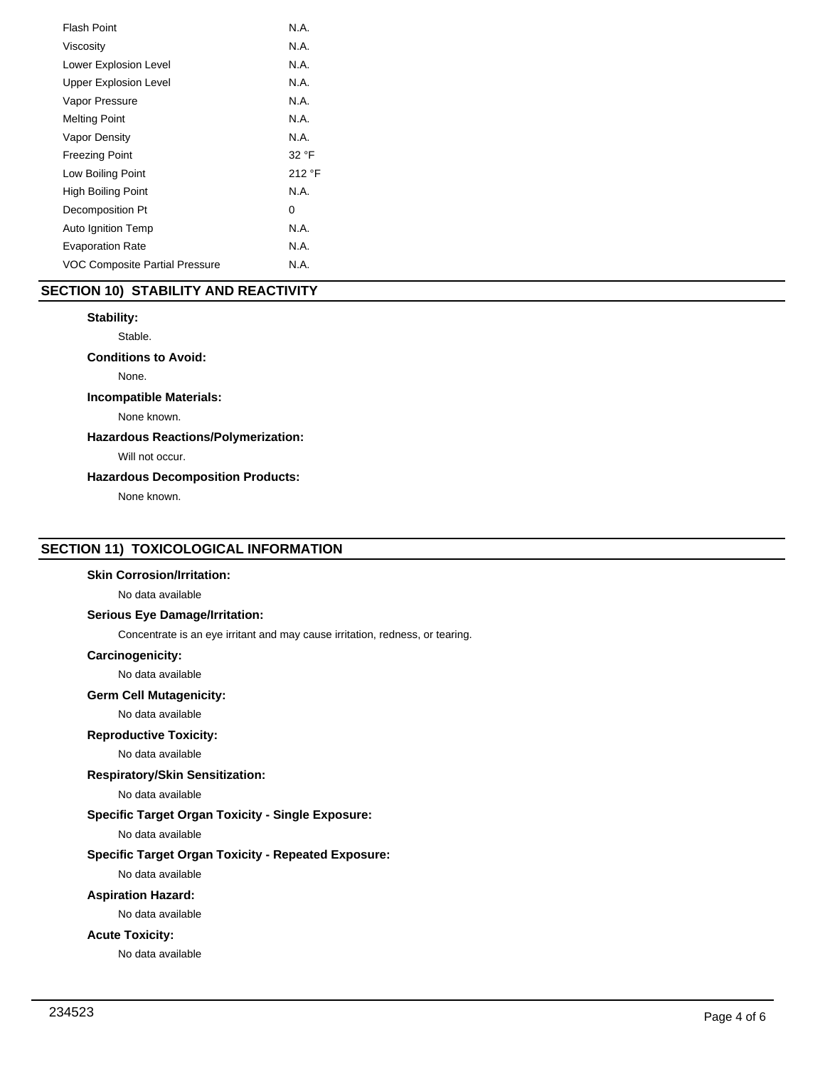| <b>Flash Point</b>             | N.A.   |
|--------------------------------|--------|
| Viscosity                      | N.A.   |
| Lower Explosion Level          | N.A.   |
| <b>Upper Explosion Level</b>   | N.A.   |
| Vapor Pressure                 | N.A.   |
| <b>Melting Point</b>           | N.A.   |
| Vapor Density                  | N.A.   |
| <b>Freezing Point</b>          | 32 °F  |
| Low Boiling Point              | 212 °F |
| High Boiling Point             | N.A.   |
| Decomposition Pt               | 0      |
| Auto Ignition Temp             | N.A.   |
| <b>Evaporation Rate</b>        | N.A.   |
| VOC Composite Partial Pressure | N.A.   |
|                                |        |

## **SECTION 10) STABILITY AND REACTIVITY**

## **Stability:**

Stable.

**Conditions to Avoid:**

None.

#### **Incompatible Materials:**

None known.

## **Hazardous Reactions/Polymerization:**

Will not occur.

## **Hazardous Decomposition Products:**

None known.

## **SECTION 11) TOXICOLOGICAL INFORMATION**

#### **Skin Corrosion/Irritation:**

No data available

## **Serious Eye Damage/Irritation:**

Concentrate is an eye irritant and may cause irritation, redness, or tearing.

## **Carcinogenicity:**

No data available

#### **Germ Cell Mutagenicity:**

No data available

#### **Reproductive Toxicity:**

No data available

## **Respiratory/Skin Sensitization:**

No data available

## **Specific Target Organ Toxicity - Single Exposure:**

No data available

## **Specific Target Organ Toxicity - Repeated Exposure:**

No data available

## **Aspiration Hazard:**

No data available

### **Acute Toxicity:**

No data available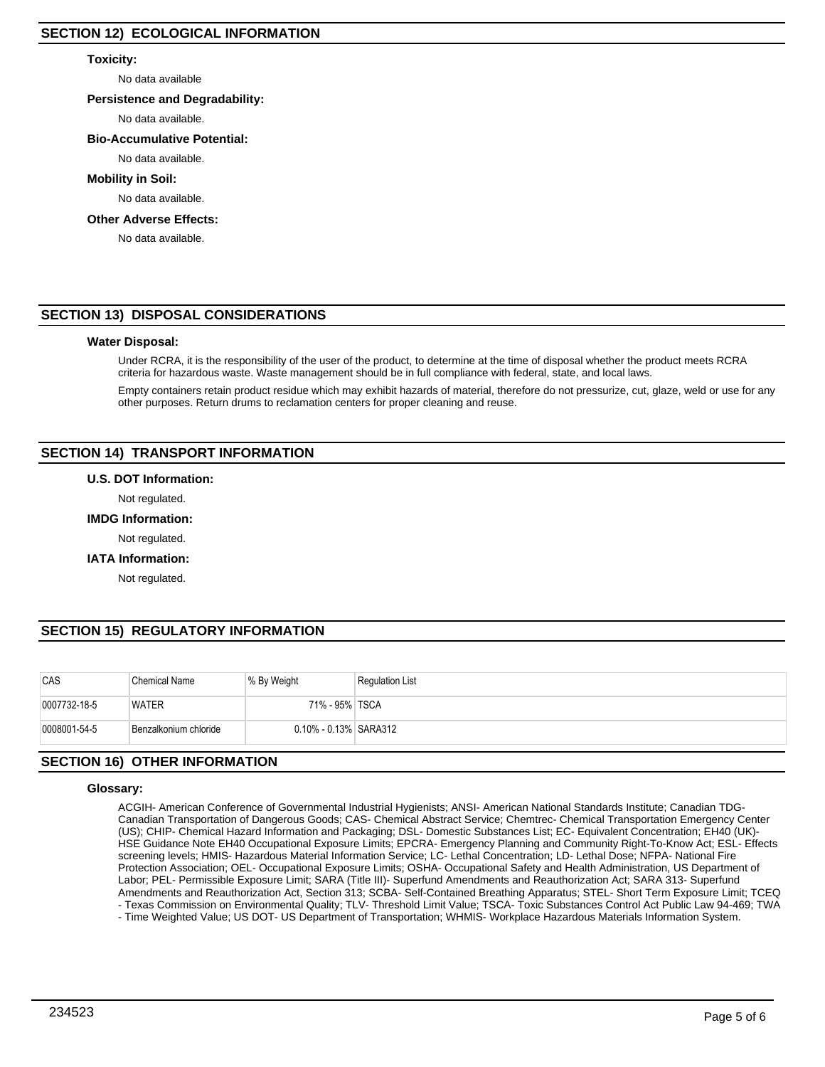## **Toxicity:**

No data available

## **Persistence and Degradability:**

No data available.

## **Bio-Accumulative Potential:**

No data available.

## **Mobility in Soil:**

No data available.

## **Other Adverse Effects:**

No data available.

# **SECTION 13) DISPOSAL CONSIDERATIONS**

## **Water Disposal:**

Under RCRA, it is the responsibility of the user of the product, to determine at the time of disposal whether the product meets RCRA criteria for hazardous waste. Waste management should be in full compliance with federal, state, and local laws.

Empty containers retain product residue which may exhibit hazards of material, therefore do not pressurize, cut, glaze, weld or use for any other purposes. Return drums to reclamation centers for proper cleaning and reuse.

# **SECTION 14) TRANSPORT INFORMATION**

## **U.S. DOT Information:**

Not regulated.

## **IMDG Information:**

Not regulated.

## **IATA Information:**

Not regulated.

# **SECTION 15) REGULATORY INFORMATION**

| CAS          | <b>Chemical Name</b>  | % By Weight           | <b>Regulation List</b> |
|--------------|-----------------------|-----------------------|------------------------|
| 0007732-18-5 | <b>WATER</b>          | 71% - 95% TSCA        |                        |
| 0008001-54-5 | Benzalkonium chloride | 0.10% - 0.13% SARA312 |                        |

# **SECTION 16) OTHER INFORMATION**

## **Glossary:**

ACGIH- American Conference of Governmental Industrial Hygienists; ANSI- American National Standards Institute; Canadian TDG-Canadian Transportation of Dangerous Goods; CAS- Chemical Abstract Service; Chemtrec- Chemical Transportation Emergency Center (US); CHIP- Chemical Hazard Information and Packaging; DSL- Domestic Substances List; EC- Equivalent Concentration; EH40 (UK)- HSE Guidance Note EH40 Occupational Exposure Limits; EPCRA- Emergency Planning and Community Right-To-Know Act; ESL- Effects screening levels; HMIS- Hazardous Material Information Service; LC- Lethal Concentration; LD- Lethal Dose; NFPA- National Fire Protection Association; OEL- Occupational Exposure Limits; OSHA- Occupational Safety and Health Administration, US Department of Labor; PEL- Permissible Exposure Limit; SARA (Title III)- Superfund Amendments and Reauthorization Act; SARA 313- Superfund Amendments and Reauthorization Act, Section 313; SCBA- Self-Contained Breathing Apparatus; STEL- Short Term Exposure Limit; TCEQ - Texas Commission on Environmental Quality; TLV- Threshold Limit Value; TSCA- Toxic Substances Control Act Public Law 94-469; TWA

- Time Weighted Value; US DOT- US Department of Transportation; WHMIS- Workplace Hazardous Materials Information System.